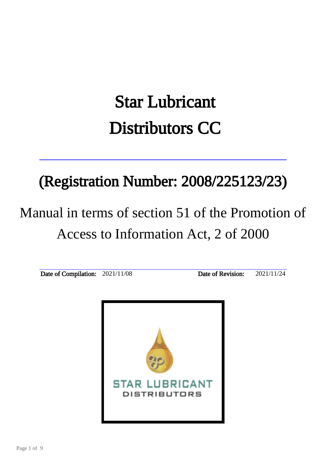# Star Lubricant Distributors CC

# (Registration Number: 2008/225123/23)

# Manual in terms of section 51 of the Promotion of Access to Information Act, 2 of 2000

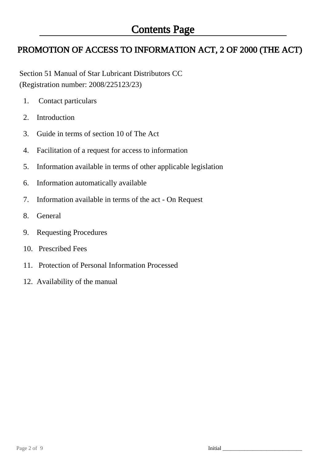## PROMOTION OF ACCESS TO INFORMATION ACT, 2 OF 2000 (THE ACT)

 Section 51 Manual of Star Lubricant Distributors CC (Registration number: 2008/225123/23)

- 1. Contact particulars
- 2. Introduction
- 3. Guide in terms of section 10 of The Act
- 4. Facilitation of a request for access to information
- 5. Information available in terms of other applicable legislation
- 6. Information automatically available
- 7. Information available in terms of the act On Request
- 8. General
- 9. Requesting Procedures
- 10. Prescribed Fees
- 11. Protection of Personal Information Processed
- 12. Availability of the manual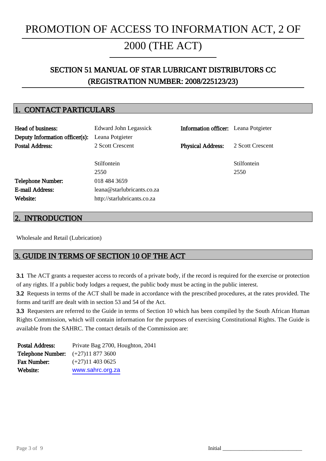## PROMOTION OF ACCESS TO INFORMATION ACT, 2 OF

## 2000 (THE ACT)

## SECTION 51 MANUAL OF STAR LUBRICANT DISTRIBUTORS CC (REGISTRATION NUMBER: 2008/225123/23)

Ī

## 1. CONTACT PARTICULARS

| Head of business:<br>Deputy Information officer(s): | Edward John Legassick<br>Leana Potgieter | <b>Information officer:</b> Leana Potgieter |                    |
|-----------------------------------------------------|------------------------------------------|---------------------------------------------|--------------------|
| <b>Postal Address:</b>                              | 2 Scott Crescent                         | <b>Physical Address:</b>                    | 2 Scott Crescent   |
|                                                     | <b>Stilfontein</b>                       |                                             | <b>Stilfontein</b> |
|                                                     | 2550                                     |                                             | 2550               |
| <b>Telephone Number:</b>                            | 018 484 3659                             |                                             |                    |
| E-mail Address:                                     | leana@starlubricants.co.za               |                                             |                    |
| Website:                                            | http://starlubricants.co.za              |                                             |                    |

### 2. INTRODUCTION

Wholesale and Retail (Lubrication)

## 3. GUIDE IN TERMS OF SECTION 10 OF THE ACT

3.1 The ACT grants a requester access to records of a private body, if the record is required for the exercise or protection of any rights. If a public body lodges a request, the public body must be acting in the public interest.

3.2 Requests in terms of the ACT shall be made in accordance with the prescribed procedures, at the rates provided. The forms and tariff are dealt with in section 53 and 54 of the Act.

3.3 Requesters are referred to the Guide in terms of Section 10 which has been compiled by the South African Human Rights Commission, which will contain information for the purposes of exercising Constitutional Rights. The Guide is available from the SAHRC. The contact details of the Commission are:

| Private Bag 2700, Houghton, 2041 |
|----------------------------------|
|                                  |
|                                  |
|                                  |
|                                  |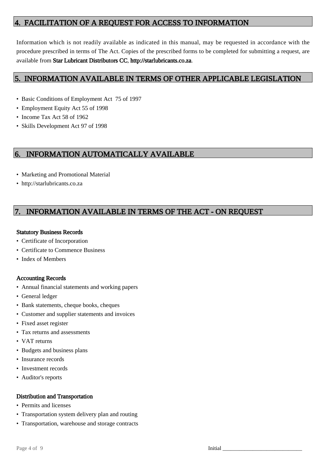## 4. FACILITATION OF A REQUEST FOR ACCESS TO INFORMATION

Information which is not readily available as indicated in this manual, may be requested in accordance with the procedure prescribed in terms of The Act. Copies of the prescribed forms to be completed for submitting a request, are available from Star Lubricant Distributors CC, http://starlubricants.co.za.

## 5. INFORMATION AVAILABLE IN TERMS OF OTHER APPLICABLE LEGISLATION

- Basic Conditions of Employment Act 75 of 1997
- Employment Equity Act 55 of 1998
- Income Tax Act 58 of 1962
- Skills Development Act 97 of 1998

## 6. INFORMATION AUTOMATICALLY AVAILABLE

- Marketing and Promotional Material
- http://starlubricants.co.za

## 7. INFORMATION AVAILABLE IN TERMS OF THE ACT - ON REQUEST

#### Statutory Business Records

- Certificate of Incorporation
- Certificate to Commence Business
- Index of Members

#### Accounting Records

- Annual financial statements and working papers
- General ledger
- Bank statements, cheque books, cheques
- Customer and supplier statements and invoices
- Fixed asset register
- Tax returns and assessments
- VAT returns
- Budgets and business plans
- Insurance records
- Investment records
- Auditor's reports

#### Distribution and Transportation

- Permits and licenses
- Transportation system delivery plan and routing
- Transportation, warehouse and storage contracts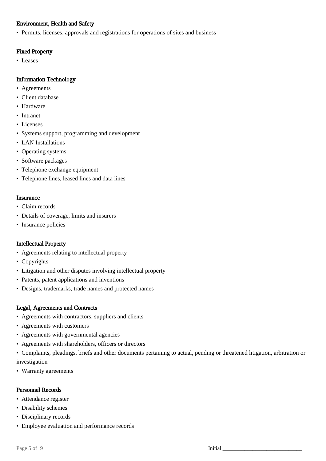#### Environment, Health and Safety

• Permits, licenses, approvals and registrations for operations of sites and business

#### Fixed Property

• Leases

#### Information Technology

- Agreements
- Client database
- Hardware
- Intranet
- Licenses
- Systems support, programming and development
- LAN Installations
- Operating systems
- Software packages
- Telephone exchange equipment
- Telephone lines, leased lines and data lines

#### Insurance

- Claim records
- Details of coverage, limits and insurers
- Insurance policies

#### Intellectual Property

- Agreements relating to intellectual property
- Copyrights
- Litigation and other disputes involving intellectual property
- Patents, patent applications and inventions
- Designs, trademarks, trade names and protected names

#### Legal, Agreements and Contracts

- Agreements with contractors, suppliers and clients
- Agreements with customers
- Agreements with governmental agencies
- Agreements with shareholders, officers or directors
- Complaints, pleadings, briefs and other documents pertaining to actual, pending or threatened litigation, arbitration or investigation
- Warranty agreements

#### Personnel Records

- Attendance register
- Disability schemes
- Disciplinary records
- Employee evaluation and performance records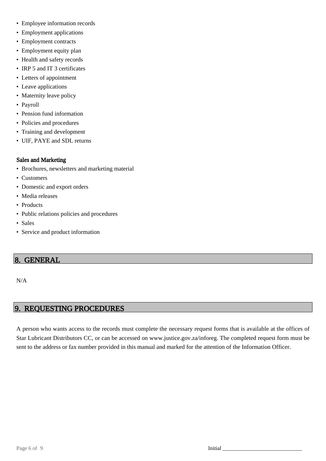- Employee information records
- Employment applications
- Employment contracts
- Employment equity plan
- Health and safety records
- IRP 5 and IT 3 certificates
- Letters of appointment
- Leave applications
- Maternity leave policy
- Payroll
- Pension fund information
- Policies and procedures
- Training and development
- UIF, PAYE and SDL returns

#### Sales and Marketing

- Brochures, newsletters and marketing material
- Customers
- Domestic and export orders
- Media releases
- Products
- Public relations policies and procedures
- Sales
- Service and product information

## 8. GENERAL

N/A

## 9. REQUESTING PROCEDURES

A person who wants access to the records must complete the necessary request forms that is available at the offices of Star Lubricant Distributors CC, or can be accessed on www.justice.gov.za/inforeg. The completed request form must be sent to the address or fax number provided in this manual and marked for the attention of the Information Officer.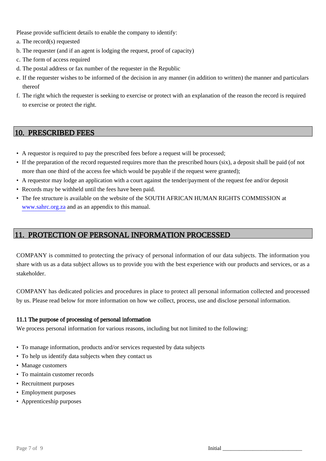Please provide sufficient details to enable the company to identify:

- a. The record(s) requested
- b. The requester (and if an agent is lodging the request, proof of capacity)
- c. The form of access required
- d. The postal address or fax number of the requester in the Republic
- e. If the requester wishes to be informed of the decision in any manner (in addition to written) the manner and particulars thereof
- f. The right which the requester is seeking to exercise or protect with an explanation of the reason the record is required to exercise or protect the right.

## 10. PRESCRIBED FEES

- A requestor is required to pay the prescribed fees before a request will be processed;
- If the preparation of the record requested requires more than the prescribed hours (six), a deposit shall be paid (of not more than one third of the access fee which would be payable if the request were granted);
- A requestor may lodge an application with a court against the tender/payment of the request fee and/or deposit
- Records may be withheld until the fees have been paid.
- The fee structure is available on the website of the SOUTH AFRICAN HUMAN RIGHTS COMMISSION at www.sahrc.org.za and as an appendix to this manual.

## 11. PROTECTION OF PERSONAL INFORMATION PROCESSED

COMPANY is committed to protecting the privacy of personal information of our data subjects. The information you share with us as a data subject allows us to provide you with the best experience with our products and services, or as a stakeholder.

COMPANY has dedicated policies and procedures in place to protect all personal information collected and processed by us. Please read below for more information on how we collect, process, use and disclose personal information.

#### 11.1 The purpose of processing of personal information

We process personal information for various reasons, including but not limited to the following:

- To manage information, products and/or services requested by data subjects
- To help us identify data subjects when they contact us
- Manage customers
- To maintain customer records
- Recruitment purposes
- Employment purposes
- Apprenticeship purposes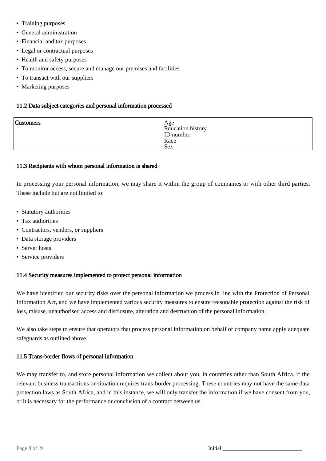- Training purposes
- General administration
- Financial and tax purposes
- Legal or contractual purposes
- Health and safety purposes
- To monitor access, secure and manage our premises and facilities
- To transact with our suppliers
- Marketing purposes

#### 11.2 Data subject categories and personal information processed

| <b>Customers</b> |                          |
|------------------|--------------------------|
|                  | Age<br>Education history |
|                  | <b>ID</b> number         |
|                  | Race                     |
|                  | Sex                      |

#### 11.3 Recipients with whom personal information is shared

In processing your personal information, we may share it within the group of companies or with other third parties. These include but are not limited to:

- Statutory authorities
- Tax authorities
- Contractors, vendors, or suppliers
- Data storage providers
- Server hosts
- Service providers

#### 11.4 Security measures implemented to protect personal information

We have identified our security risks over the personal information we process in line with the Protection of Personal Information Act, and we have implemented various security measures to ensure reasonable protection against the risk of loss, misuse, unauthorised access and disclosure, alteration and destruction of the personal information.

We also take steps to ensure that operators that process personal information on behalf of company name apply adequate safeguards as outlined above.

#### 11.5 Trans-border flows of personal information

We may transfer to, and store personal information we collect about you, in countries other than South Africa, if the relevant business transactions or situation requires trans-border processing. These countries may not have the same data protection laws as South Africa, and in this instance, we will only transfer the information if we have consent from you, or it is necessary for the performance or conclusion of a contract between us.